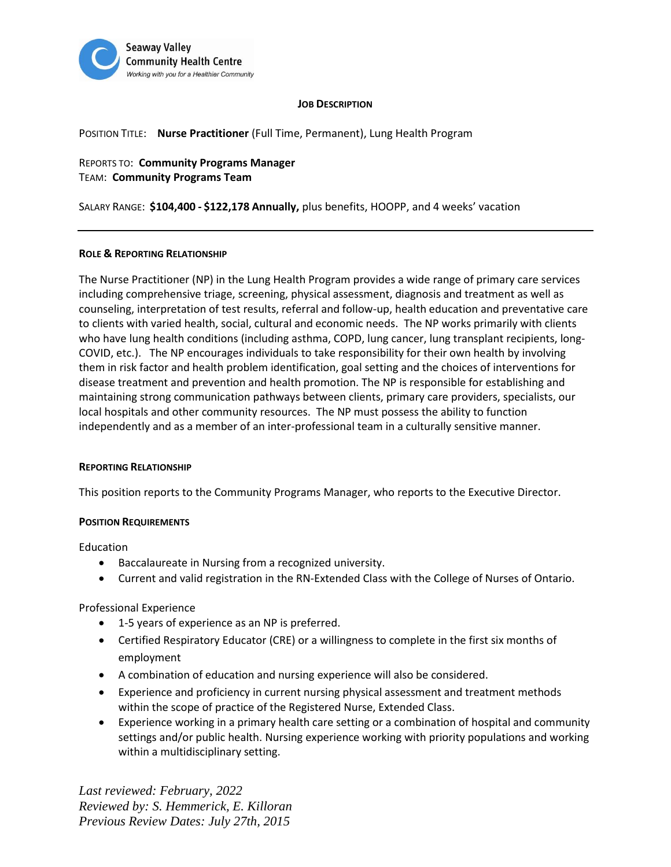

## **JOB DESCRIPTION**

POSITION TITLE: **Nurse Practitioner** (Full Time, Permanent), Lung Health Program

REPORTS TO: **Community Programs Manager** TEAM: **Community Programs Team**

SALARY RANGE: **\$104,400 - \$122,178 Annually,** plus benefits, HOOPP, and 4 weeks' vacation

## **ROLE & REPORTING RELATIONSHIP**

The Nurse Practitioner (NP) in the Lung Health Program provides a wide range of primary care services including comprehensive triage, screening, physical assessment, diagnosis and treatment as well as counseling, interpretation of test results, referral and follow-up, health education and preventative care to clients with varied health, social, cultural and economic needs. The NP works primarily with clients who have lung health conditions (including asthma, COPD, lung cancer, lung transplant recipients, long-COVID, etc.). The NP encourages individuals to take responsibility for their own health by involving them in risk factor and health problem identification, goal setting and the choices of interventions for disease treatment and prevention and health promotion. The NP is responsible for establishing and maintaining strong communication pathways between clients, primary care providers, specialists, our local hospitals and other community resources. The NP must possess the ability to function independently and as a member of an inter-professional team in a culturally sensitive manner.

## **REPORTING RELATIONSHIP**

This position reports to the Community Programs Manager, who reports to the Executive Director.

## **POSITION REQUIREMENTS**

Education

- Baccalaureate in Nursing from a recognized university.
- Current and valid registration in the RN-Extended Class with the College of Nurses of Ontario.

Professional Experience

- 1-5 years of experience as an NP is preferred.
- Certified Respiratory Educator (CRE) or a willingness to complete in the first six months of employment
- A combination of education and nursing experience will also be considered.
- Experience and proficiency in current nursing physical assessment and treatment methods within the scope of practice of the Registered Nurse, Extended Class.
- Experience working in a primary health care setting or a combination of hospital and community settings and/or public health. Nursing experience working with priority populations and working within a multidisciplinary setting.

*Last reviewed: February, 2022 Reviewed by: S. Hemmerick, E. Killoran Previous Review Dates: July 27th, 2015*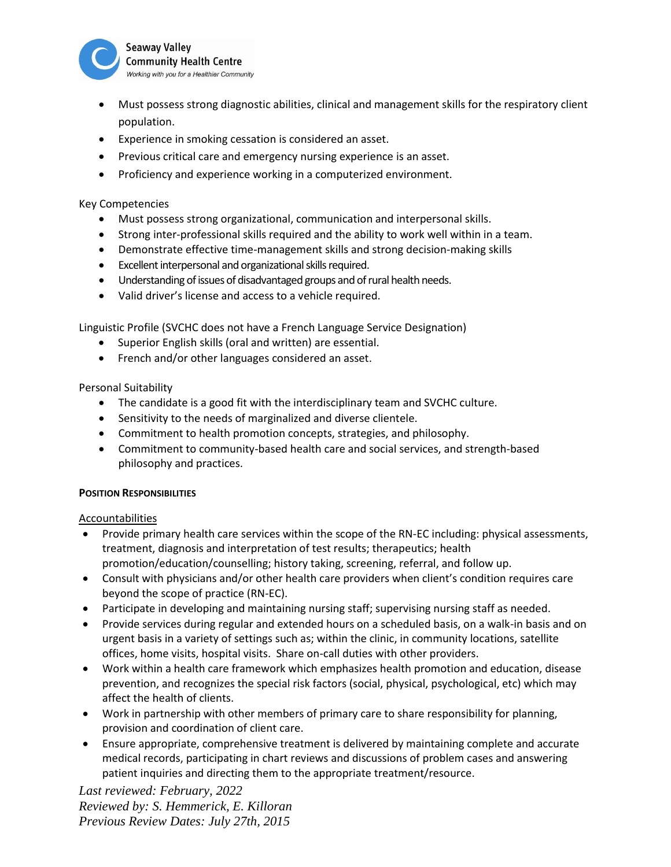

- Must possess strong diagnostic abilities, clinical and management skills for the respiratory client population.
- Experience in smoking cessation is considered an asset.
- Previous critical care and emergency nursing experience is an asset.
- Proficiency and experience working in a computerized environment.

# Key Competencies

- Must possess strong organizational, communication and interpersonal skills.
- Strong inter-professional skills required and the ability to work well within in a team.
- Demonstrate effective time-management skills and strong decision-making skills
- Excellent interpersonal and organizational skills required.
- Understanding of issues of disadvantaged groups and of rural health needs.
- Valid driver's license and access to a vehicle required.

Linguistic Profile (SVCHC does not have a French Language Service Designation)

- Superior English skills (oral and written) are essential.
- French and/or other languages considered an asset.

Personal Suitability

- The candidate is a good fit with the interdisciplinary team and SVCHC culture.
- Sensitivity to the needs of marginalized and diverse clientele.
- Commitment to health promotion concepts, strategies, and philosophy.
- Commitment to community-based health care and social services, and strength-based philosophy and practices.

# **POSITION RESPONSIBILITIES**

## Accountabilities

- Provide primary health care services within the scope of the RN-EC including: physical assessments, treatment, diagnosis and interpretation of test results; therapeutics; health promotion/education/counselling; history taking, screening, referral, and follow up.
- Consult with physicians and/or other health care providers when client's condition requires care beyond the scope of practice (RN-EC).
- Participate in developing and maintaining nursing staff; supervising nursing staff as needed.
- Provide services during regular and extended hours on a scheduled basis, on a walk-in basis and on urgent basis in a variety of settings such as; within the clinic, in community locations, satellite offices, home visits, hospital visits. Share on-call duties with other providers.
- Work within a health care framework which emphasizes health promotion and education, disease prevention, and recognizes the special risk factors (social, physical, psychological, etc) which may affect the health of clients.
- Work in partnership with other members of primary care to share responsibility for planning, provision and coordination of client care.
- Ensure appropriate, comprehensive treatment is delivered by maintaining complete and accurate medical records, participating in chart reviews and discussions of problem cases and answering patient inquiries and directing them to the appropriate treatment/resource.

*Last reviewed: February, 2022 Reviewed by: S. Hemmerick, E. Killoran Previous Review Dates: July 27th, 2015*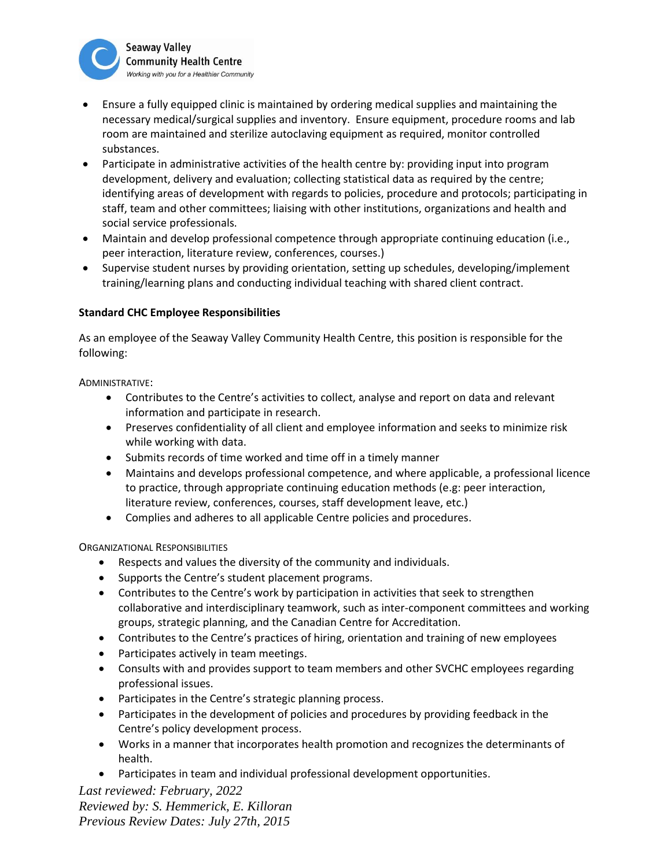

- Ensure a fully equipped clinic is maintained by ordering medical supplies and maintaining the necessary medical/surgical supplies and inventory. Ensure equipment, procedure rooms and lab room are maintained and sterilize autoclaving equipment as required, monitor controlled substances.
- Participate in administrative activities of the health centre by: providing input into program development, delivery and evaluation; collecting statistical data as required by the centre; identifying areas of development with regards to policies, procedure and protocols; participating in staff, team and other committees; liaising with other institutions, organizations and health and social service professionals.
- Maintain and develop professional competence through appropriate continuing education (i.e., peer interaction, literature review, conferences, courses.)
- Supervise student nurses by providing orientation, setting up schedules, developing/implement training/learning plans and conducting individual teaching with shared client contract.

# **Standard CHC Employee Responsibilities**

As an employee of the Seaway Valley Community Health Centre, this position is responsible for the following:

ADMINISTRATIVE:

- Contributes to the Centre's activities to collect, analyse and report on data and relevant information and participate in research.
- Preserves confidentiality of all client and employee information and seeks to minimize risk while working with data.
- Submits records of time worked and time off in a timely manner
- Maintains and develops professional competence, and where applicable, a professional licence to practice, through appropriate continuing education methods (e.g: peer interaction, literature review, conferences, courses, staff development leave, etc.)
- Complies and adheres to all applicable Centre policies and procedures.

ORGANIZATIONAL RESPONSIBILITIES

- Respects and values the diversity of the community and individuals.
- Supports the Centre's student placement programs.
- Contributes to the Centre's work by participation in activities that seek to strengthen collaborative and interdisciplinary teamwork, such as inter-component committees and working groups, strategic planning, and the Canadian Centre for Accreditation.
- Contributes to the Centre's practices of hiring, orientation and training of new employees
- Participates actively in team meetings.
- Consults with and provides support to team members and other SVCHC employees regarding professional issues.
- Participates in the Centre's strategic planning process.
- Participates in the development of policies and procedures by providing feedback in the Centre's policy development process.
- Works in a manner that incorporates health promotion and recognizes the determinants of health.
- Participates in team and individual professional development opportunities.

*Last reviewed: February, 2022 Reviewed by: S. Hemmerick, E. Killoran Previous Review Dates: July 27th, 2015*